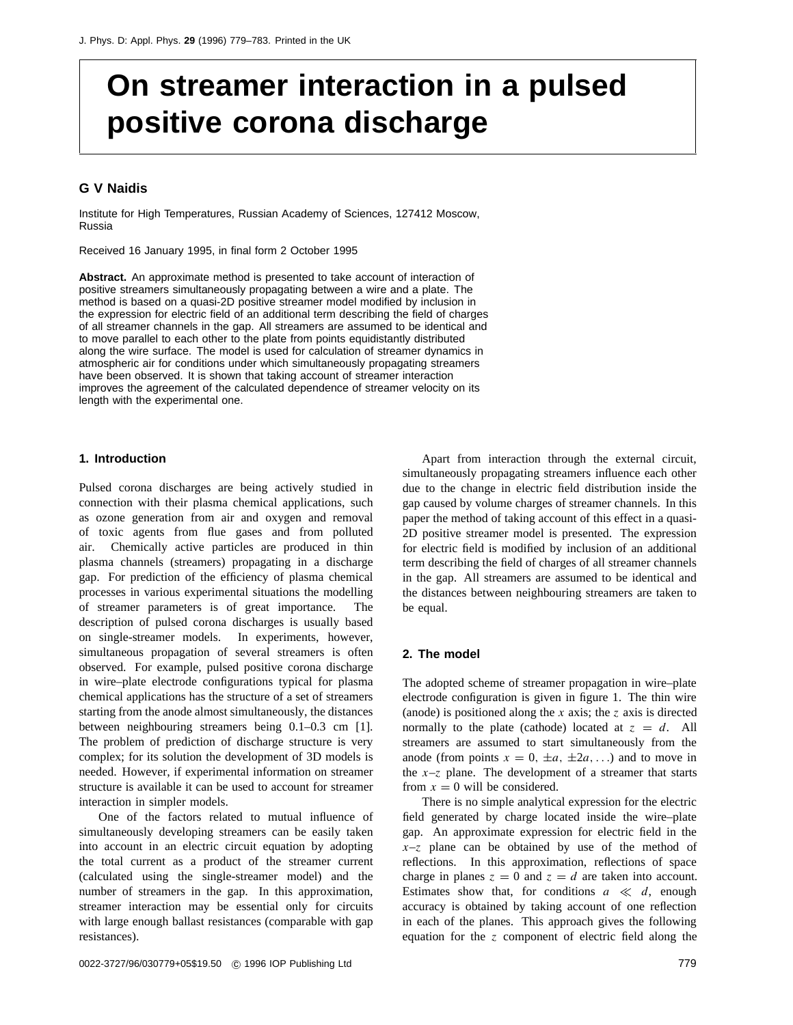# **On streamer interaction in a pulsed positive corona discharge**

# **G V Naidis**

Institute for High Temperatures, Russian Academy of Sciences, 127412 Moscow, Russia

Received 16 January 1995, in final form 2 October 1995

**Abstract.** An approximate method is presented to take account of interaction of positive streamers simultaneously propagating between a wire and a plate. The method is based on a quasi-2D positive streamer model modified by inclusion in the expression for electric field of an additional term describing the field of charges of all streamer channels in the gap. All streamers are assumed to be identical and to move parallel to each other to the plate from points equidistantly distributed along the wire surface. The model is used for calculation of streamer dynamics in atmospheric air for conditions under which simultaneously propagating streamers have been observed. It is shown that taking account of streamer interaction improves the agreement of the calculated dependence of streamer velocity on its length with the experimental one.

# **1. Introduction**

Pulsed corona discharges are being actively studied in connection with their plasma chemical applications, such as ozone generation from air and oxygen and removal of toxic agents from flue gases and from polluted air. Chemically active particles are produced in thin plasma channels (streamers) propagating in a discharge gap. For prediction of the efficiency of plasma chemical processes in various experimental situations the modelling of streamer parameters is of great importance. The description of pulsed corona discharges is usually based on single-streamer models. In experiments, however, simultaneous propagation of several streamers is often observed. For example, pulsed positive corona discharge in wire–plate electrode configurations typical for plasma chemical applications has the structure of a set of streamers starting from the anode almost simultaneously, the distances between neighbouring streamers being 0.1–0.3 cm [1]. The problem of prediction of discharge structure is very complex; for its solution the development of 3D models is needed. However, if experimental information on streamer structure is available it can be used to account for streamer interaction in simpler models.

One of the factors related to mutual influence of simultaneously developing streamers can be easily taken into account in an electric circuit equation by adopting the total current as a product of the streamer current (calculated using the single-streamer model) and the number of streamers in the gap. In this approximation, streamer interaction may be essential only for circuits with large enough ballast resistances (comparable with gap resistances).

Apart from interaction through the external circuit, simultaneously propagating streamers influence each other due to the change in electric field distribution inside the gap caused by volume charges of streamer channels. In this paper the method of taking account of this effect in a quasi-2D positive streamer model is presented. The expression for electric field is modified by inclusion of an additional term describing the field of charges of all streamer channels in the gap. All streamers are assumed to be identical and the distances between neighbouring streamers are taken to be equal.

# **2. The model**

The adopted scheme of streamer propagation in wire–plate electrode configuration is given in figure 1. The thin wire (anode) is positioned along the *x* axis; the *z* axis is directed normally to the plate (cathode) located at  $z = d$ . All streamers are assumed to start simultaneously from the anode (from points  $x = 0, \pm a, \pm 2a, \ldots$ ) and to move in the  $x-z$  plane. The development of a streamer that starts from  $x = 0$  will be considered.

There is no simple analytical expression for the electric field generated by charge located inside the wire–plate gap. An approximate expression for electric field in the  $x-z$  plane can be obtained by use of the method of reflections. In this approximation, reflections of space charge in planes  $z = 0$  and  $z = d$  are taken into account. Estimates show that, for conditions  $a \ll d$ , enough accuracy is obtained by taking account of one reflection in each of the planes. This approach gives the following equation for the *z* component of electric field along the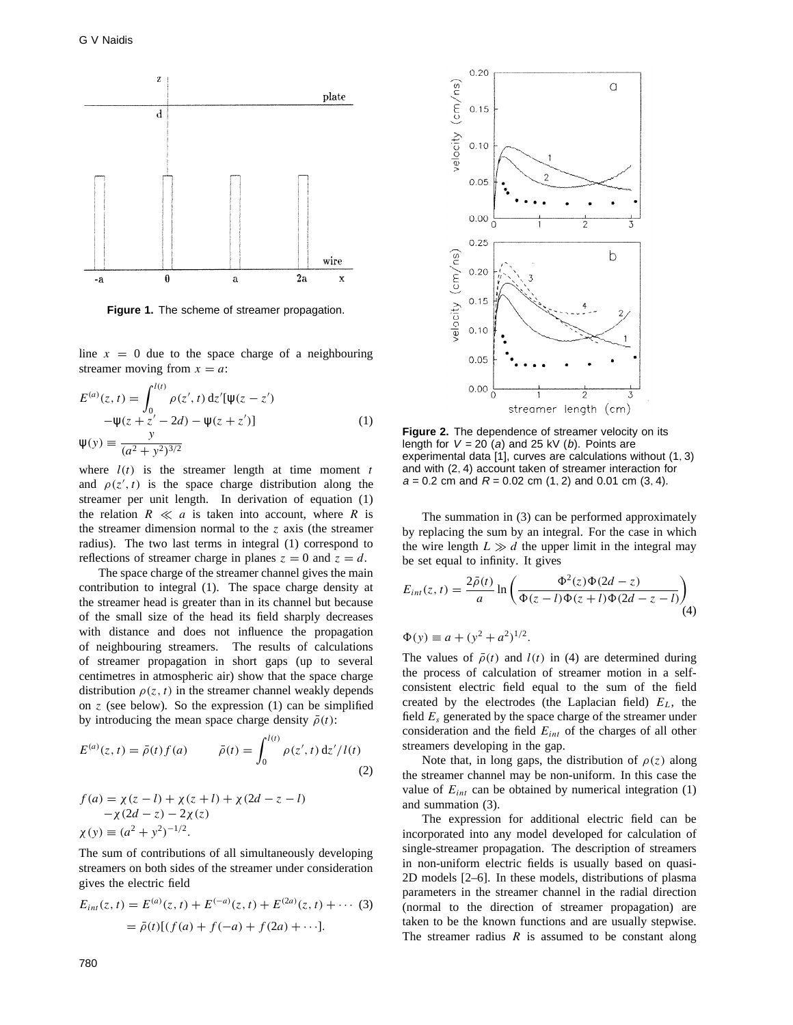

**Figure 1.** The scheme of streamer propagation.

line  $x = 0$  due to the space charge of a neighbouring streamer moving from  $x = a$ :

$$
E^{(a)}(z,t) = \int_0^{l(t)} \rho(z',t) dz'[ \psi(z-z') -\psi(z+z'-2d) - \psi(z+z')]
$$
  

$$
\psi(y) \equiv \frac{y}{(a^2 + y^2)^{3/2}}
$$
 (1)

where  $l(t)$  is the streamer length at time moment  $t$ and  $\rho(z', t)$  is the space charge distribution along the streamer per unit length. In derivation of equation (1) the relation  $R \ll a$  is taken into account, where  $R$  is the streamer dimension normal to the *z* axis (the streamer radius). The two last terms in integral (1) correspond to reflections of streamer charge in planes  $z = 0$  and  $z = d$ .

The space charge of the streamer channel gives the main contribution to integral (1). The space charge density at the streamer head is greater than in its channel but because of the small size of the head its field sharply decreases with distance and does not influence the propagation of neighbouring streamers. The results of calculations of streamer propagation in short gaps (up to several centimetres in atmospheric air) show that the space charge distribution  $\rho(z, t)$  in the streamer channel weakly depends on *z* (see below). So the expression (1) can be simplified by introducing the mean space charge density  $\bar{\rho}(t)$ :

$$
E^{(a)}(z,t) = \bar{\rho}(t) f(a) \qquad \bar{\rho}(t) = \int_0^{l(t)} \rho(z',t) \, \mathrm{d}z'/l(t) \tag{2}
$$

$$
f(a) = \chi(z - l) + \chi(z + l) + \chi(2d - z - l)
$$
  
-
$$
\chi(2d - z) - 2\chi(z)
$$
  

$$
\chi(y) \equiv (a^2 + y^2)^{-1/2}.
$$

The sum of contributions of all simultaneously developing streamers on both sides of the streamer under consideration gives the electric field

$$
E_{int}(z, t) = E^{(a)}(z, t) + E^{(-a)}(z, t) + E^{(2a)}(z, t) + \cdots (3)
$$
  
=  $\bar{\rho}(t)[(f(a) + f(-a) + f(2a) + \cdots].$ 



**Figure 2.** The dependence of streamer velocity on its length for  $V = 20$  (a) and 25 kV (b). Points are experimental data [1], curves are calculations without (1*,* 3) and with (2*,* 4) account taken of streamer interaction for <sup>a</sup> = 0*.*2 cm and <sup>R</sup> = 0*.*02 cm (1*,* 2) and 0.01 cm (3*,* 4).

The summation in (3) can be performed approximately by replacing the sum by an integral. For the case in which the wire length  $L \gg d$  the upper limit in the integral may be set equal to infinity. It gives

$$
E_{int}(z, t) = \frac{2\bar{\rho}(t)}{a} \ln \left( \frac{\Phi^2(z)\Phi(2d - z)}{\Phi(z - l)\Phi(z + l)\Phi(2d - z - l)} \right)
$$
  
\n
$$
\Phi(y) \equiv a + (y^2 + a^2)^{1/2}.
$$
\n(4)

The values of  $\bar{\rho}(t)$  and  $l(t)$  in (4) are determined during the process of calculation of streamer motion in a selfconsistent electric field equal to the sum of the field created by the electrodes (the Laplacian field) *EL*, the field *Es* generated by the space charge of the streamer under consideration and the field *Eint* of the charges of all other streamers developing in the gap.

Note that, in long gaps, the distribution of  $\rho(z)$  along the streamer channel may be non-uniform. In this case the value of  $E_{int}$  can be obtained by numerical integration  $(1)$ and summation (3).

The expression for additional electric field can be incorporated into any model developed for calculation of single-streamer propagation. The description of streamers in non-uniform electric fields is usually based on quasi-2D models [2–6]. In these models, distributions of plasma parameters in the streamer channel in the radial direction (normal to the direction of streamer propagation) are taken to be the known functions and are usually stepwise. The streamer radius *R* is assumed to be constant along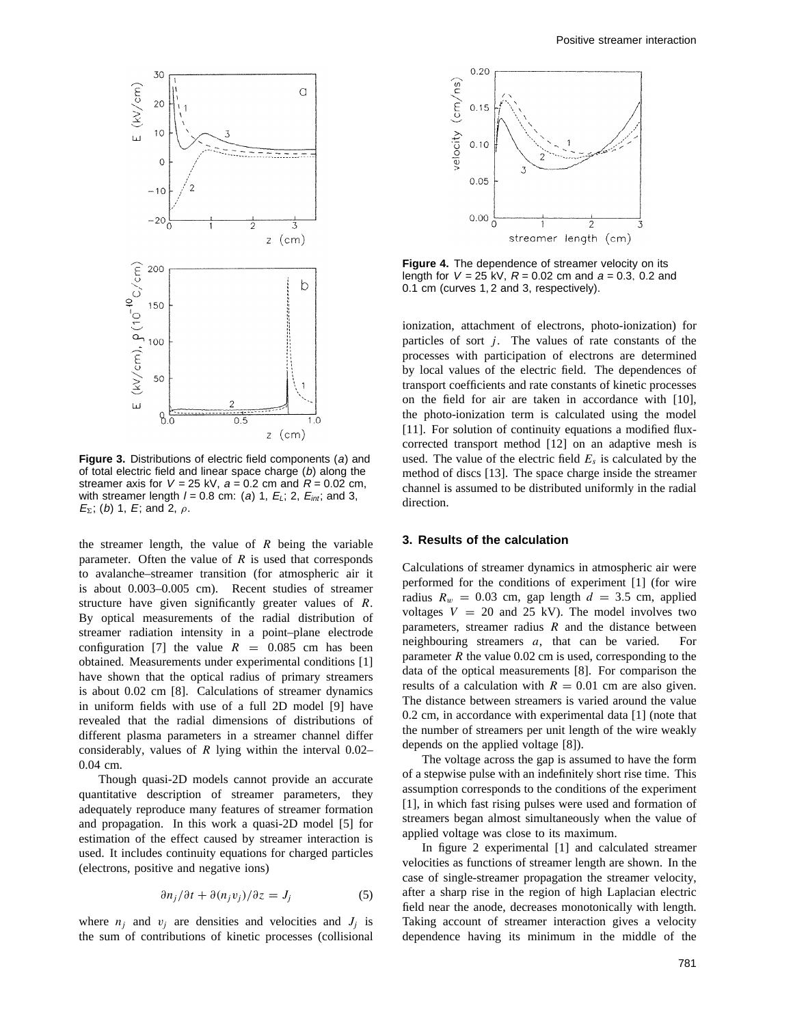

**Figure 3.** Distributions of electric field components (a) and of total electric field and linear space charge (b) along the streamer axis for  $V = 25$  kV,  $a = 0.2$  cm and  $R = 0.02$  cm, with streamer length  $l = 0.8$  cm: (a) 1,  $E_L$ ; 2,  $E_{int}$ ; and 3, <sup>E</sup>*6*; (b) 1, <sup>E</sup>; and 2, *ρ*.

the streamer length, the value of *R* being the variable parameter. Often the value of *R* is used that corresponds to avalanche–streamer transition (for atmospheric air it is about 0.003–0.005 cm). Recent studies of streamer structure have given significantly greater values of *R*. By optical measurements of the radial distribution of streamer radiation intensity in a point–plane electrode configuration [7] the value  $R = 0.085$  cm has been obtained. Measurements under experimental conditions [1] have shown that the optical radius of primary streamers is about 0.02 cm [8]. Calculations of streamer dynamics in uniform fields with use of a full 2D model [9] have revealed that the radial dimensions of distributions of different plasma parameters in a streamer channel differ considerably, values of *R* lying within the interval 0.02– 0.04 cm.

Though quasi-2D models cannot provide an accurate quantitative description of streamer parameters, they adequately reproduce many features of streamer formation and propagation. In this work a quasi-2D model [5] for estimation of the effect caused by streamer interaction is used. It includes continuity equations for charged particles (electrons, positive and negative ions)

$$
\frac{\partial n_j}{\partial t} + \frac{\partial (n_j v_j)}{\partial z} = J_j \tag{5}
$$

where  $n_j$  and  $v_j$  are densities and velocities and  $J_j$  is the sum of contributions of kinetic processes (collisional



**Figure 4.** The dependence of streamer velocity on its length for <sup>V</sup> = 25 kV, <sup>R</sup> = 0*.*02 cm and <sup>a</sup> = 0*.*3*,* 0*.*2 and 0.1 cm (curves 1, 2 and 3, respectively).

ionization, attachment of electrons, photo-ionization) for particles of sort  $j$ . The values of rate constants of the processes with participation of electrons are determined by local values of the electric field. The dependences of transport coefficients and rate constants of kinetic processes on the field for air are taken in accordance with [10], the photo-ionization term is calculated using the model [11]. For solution of continuity equations a modified fluxcorrected transport method [12] on an adaptive mesh is used. The value of the electric field  $E_s$  is calculated by the method of discs [13]. The space charge inside the streamer channel is assumed to be distributed uniformly in the radial direction.

#### **3. Results of the calculation**

Calculations of streamer dynamics in atmospheric air were performed for the conditions of experiment [1] (for wire radius  $R_w = 0.03$  cm, gap length  $d = 3.5$  cm, applied voltages  $V = 20$  and 25 kV). The model involves two parameters, streamer radius *R* and the distance between neighbouring streamers *a*, that can be varied. For parameter  $R$  the value 0.02 cm is used, corresponding to the data of the optical measurements [8]. For comparison the results of a calculation with  $R = 0.01$  cm are also given. The distance between streamers is varied around the value 0.2 cm, in accordance with experimental data [1] (note that the number of streamers per unit length of the wire weakly depends on the applied voltage [8]).

The voltage across the gap is assumed to have the form of a stepwise pulse with an indefinitely short rise time. This assumption corresponds to the conditions of the experiment [1], in which fast rising pulses were used and formation of streamers began almost simultaneously when the value of applied voltage was close to its maximum.

In figure 2 experimental [1] and calculated streamer velocities as functions of streamer length are shown. In the case of single-streamer propagation the streamer velocity, after a sharp rise in the region of high Laplacian electric field near the anode, decreases monotonically with length. Taking account of streamer interaction gives a velocity dependence having its minimum in the middle of the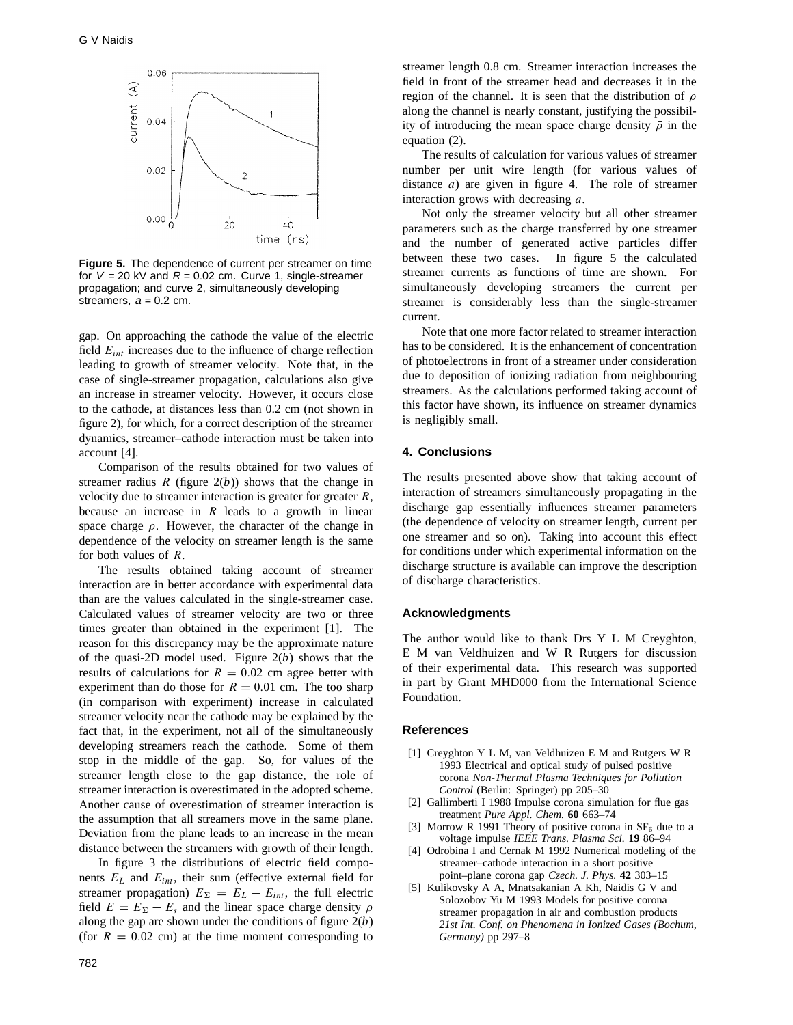

**Figure 5.** The dependence of current per streamer on time for  $V = 20$  kV and  $R = 0.02$  cm. Curve 1, single-streamer propagation; and curve 2, simultaneously developing streamers,  $a = 0.2$  cm.

gap. On approaching the cathode the value of the electric field *Eint* increases due to the influence of charge reflection leading to growth of streamer velocity. Note that, in the case of single-streamer propagation, calculations also give an increase in streamer velocity. However, it occurs close to the cathode, at distances less than 0.2 cm (not shown in figure 2), for which, for a correct description of the streamer dynamics, streamer–cathode interaction must be taken into account [4].

Comparison of the results obtained for two values of streamer radius  $R$  (figure  $2(b)$ ) shows that the change in velocity due to streamer interaction is greater for greater *R*, because an increase in *R* leads to a growth in linear space charge *ρ*. However, the character of the change in dependence of the velocity on streamer length is the same for both values of *R*.

The results obtained taking account of streamer interaction are in better accordance with experimental data than are the values calculated in the single-streamer case. Calculated values of streamer velocity are two or three times greater than obtained in the experiment [1]. The reason for this discrepancy may be the approximate nature of the quasi-2D model used. Figure 2(*b*) shows that the results of calculations for  $R = 0.02$  cm agree better with experiment than do those for  $R = 0.01$  cm. The too sharp (in comparison with experiment) increase in calculated streamer velocity near the cathode may be explained by the fact that, in the experiment, not all of the simultaneously developing streamers reach the cathode. Some of them stop in the middle of the gap. So, for values of the streamer length close to the gap distance, the role of streamer interaction is overestimated in the adopted scheme. Another cause of overestimation of streamer interaction is the assumption that all streamers move in the same plane. Deviation from the plane leads to an increase in the mean distance between the streamers with growth of their length.

In figure 3 the distributions of electric field components  $E_L$  and  $E_{int}$ , their sum (effective external field for streamer propagation)  $E_{\Sigma} = E_L + E_{int}$ , the full electric field  $E = E_{\Sigma} + E_{s}$  and the linear space charge density  $\rho$ along the gap are shown under the conditions of figure 2(*b*) (for  $R = 0.02$  cm) at the time moment corresponding to

streamer length 0.8 cm. Streamer interaction increases the field in front of the streamer head and decreases it in the region of the channel. It is seen that the distribution of *ρ* along the channel is nearly constant, justifying the possibility of introducing the mean space charge density  $\bar{\rho}$  in the equation (2).

The results of calculation for various values of streamer number per unit wire length (for various values of distance *a*) are given in figure 4. The role of streamer interaction grows with decreasing *a*.

Not only the streamer velocity but all other streamer parameters such as the charge transferred by one streamer and the number of generated active particles differ between these two cases. In figure 5 the calculated streamer currents as functions of time are shown. For simultaneously developing streamers the current per streamer is considerably less than the single-streamer current.

Note that one more factor related to streamer interaction has to be considered. It is the enhancement of concentration of photoelectrons in front of a streamer under consideration due to deposition of ionizing radiation from neighbouring streamers. As the calculations performed taking account of this factor have shown, its influence on streamer dynamics is negligibly small.

# **4. Conclusions**

The results presented above show that taking account of interaction of streamers simultaneously propagating in the discharge gap essentially influences streamer parameters (the dependence of velocity on streamer length, current per one streamer and so on). Taking into account this effect for conditions under which experimental information on the discharge structure is available can improve the description of discharge characteristics.

### **Acknowledgments**

The author would like to thank Drs Y L M Creyghton, E M van Veldhuizen and W R Rutgers for discussion of their experimental data. This research was supported in part by Grant MHD000 from the International Science Foundation.

# **References**

- [1] Creyghton Y L M, van Veldhuizen E M and Rutgers W R 1993 Electrical and optical study of pulsed positive corona *Non-Thermal Plasma Techniques for Pollution Control* (Berlin: Springer) pp 205–30
- [2] Gallimberti I 1988 Impulse corona simulation for flue gas treatment *Pure Appl. Chem.* **60** 663–74
- [3] Morrow R 1991 Theory of positive corona in  $SF<sub>6</sub>$  due to a voltage impulse *IEEE Trans. Plasma Sci.* **19** 86–94
- [4] Odrobina I and Cernak M 1992 Numerical modeling of the streamer–cathode interaction in a short positive point–plane corona gap *Czech. J. Phys.* **42** 303–15
- [5] Kulikovsky A A, Mnatsakanian A Kh, Naidis G V and Solozobov Yu M 1993 Models for positive corona streamer propagation in air and combustion products *21st Int. Conf. on Phenomena in Ionized Gases (Bochum, Germany)* pp 297–8